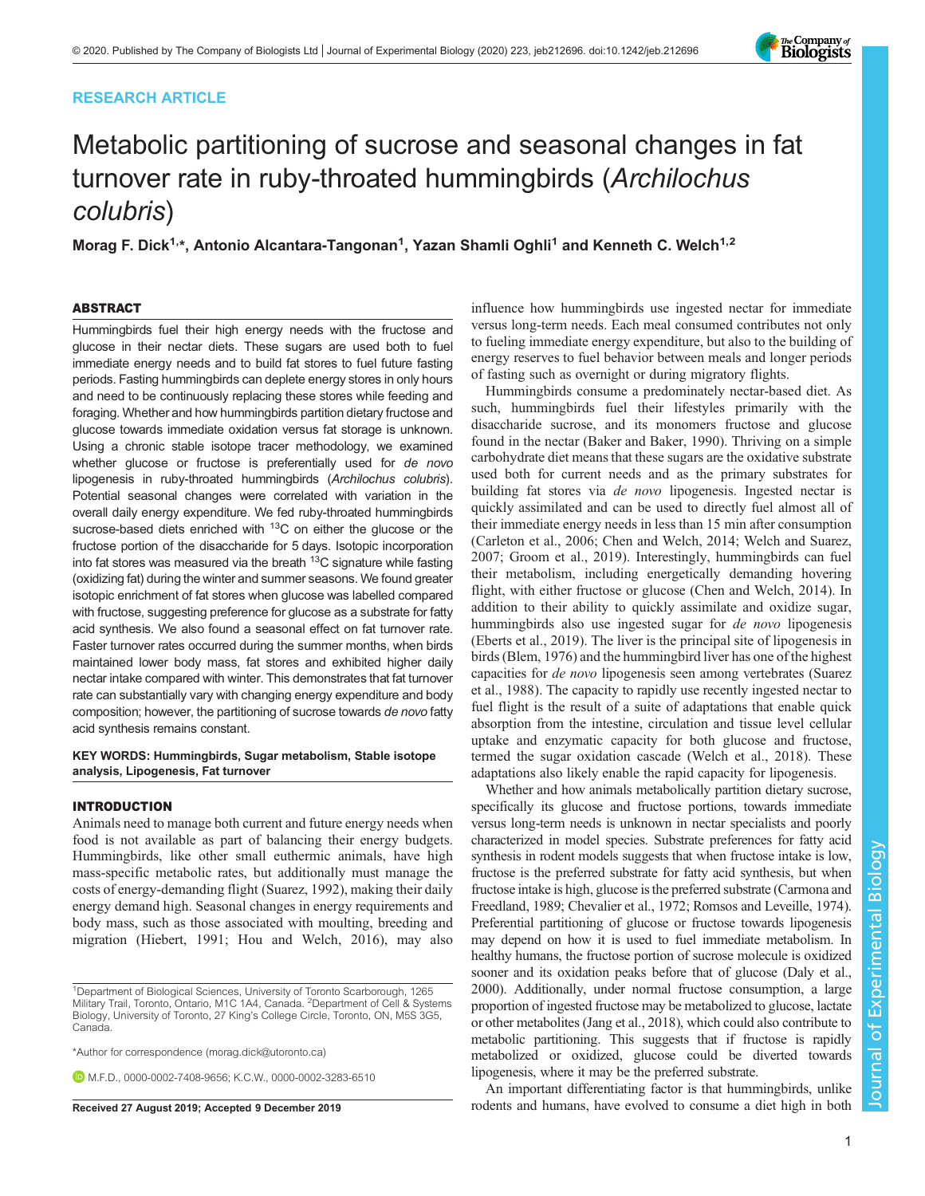# RESEARCH ARTICLE



# Metabolic partitioning of sucrose and seasonal changes in fat turnover rate in ruby-throated hummingbirds (Archilochus colubris)

Morag F. Dick<sup>1,</sup>\*, Antonio Alcantara-Tangonan<sup>1</sup>, Yazan Shamli Oghli<sup>1</sup> and Kenneth C. Welch<sup>1,2</sup>

# ABSTRACT

Hummingbirds fuel their high energy needs with the fructose and glucose in their nectar diets. These sugars are used both to fuel immediate energy needs and to build fat stores to fuel future fasting periods. Fasting hummingbirds can deplete energy stores in only hours and need to be continuously replacing these stores while feeding and foraging. Whether and how hummingbirds partition dietary fructose and glucose towards immediate oxidation versus fat storage is unknown. Using a chronic stable isotope tracer methodology, we examined whether glucose or fructose is preferentially used for de novo lipogenesis in ruby-throated hummingbirds (Archilochus colubris). Potential seasonal changes were correlated with variation in the overall daily energy expenditure. We fed ruby-throated hummingbirds sucrose-based diets enriched with <sup>13</sup>C on either the glucose or the fructose portion of the disaccharide for 5 days. Isotopic incorporation into fat stores was measured via the breath  $13C$  signature while fasting (oxidizing fat) during the winter and summer seasons. We found greater isotopic enrichment of fat stores when glucose was labelled compared with fructose, suggesting preference for glucose as a substrate for fatty acid synthesis. We also found a seasonal effect on fat turnover rate. Faster turnover rates occurred during the summer months, when birds maintained lower body mass, fat stores and exhibited higher daily nectar intake compared with winter. This demonstrates that fat turnover rate can substantially vary with changing energy expenditure and body composition; however, the partitioning of sucrose towards de novo fatty acid synthesis remains constant.

# KEY WORDS: Hummingbirds, Sugar metabolism, Stable isotope analysis, Lipogenesis, Fat turnover

# INTRODUCTION

Animals need to manage both current and future energy needs when food is not available as part of balancing their energy budgets. Hummingbirds, like other small euthermic animals, have high mass-specific metabolic rates, but additionally must manage the costs of energy-demanding flight [\(Suarez, 1992\)](#page-7-0), making their daily energy demand high. Seasonal changes in energy requirements and body mass, such as those associated with moulting, breeding and migration [\(Hiebert, 1991; Hou and Welch, 2016](#page-7-0)), may also

\*Author for correspondence [\(morag.dick@utoronto.ca\)](mailto:morag.dick@utoronto.ca)

M.F.D., [0000-0002-7408-9656;](http://orcid.org/0000-0002-7408-9656) K.C.W., [0000-0002-3283-6510](http://orcid.org/0000-0002-3283-6510)

influence how hummingbirds use ingested nectar for immediate versus long-term needs. Each meal consumed contributes not only to fueling immediate energy expenditure, but also to the building of energy reserves to fuel behavior between meals and longer periods of fasting such as overnight or during migratory flights.

Hummingbirds consume a predominately nectar-based diet. As such, hummingbirds fuel their lifestyles primarily with the disaccharide sucrose, and its monomers fructose and glucose found in the nectar [\(Baker and Baker, 1990](#page-7-0)). Thriving on a simple carbohydrate diet means that these sugars are the oxidative substrate used both for current needs and as the primary substrates for building fat stores via de novo lipogenesis. Ingested nectar is quickly assimilated and can be used to directly fuel almost all of their immediate energy needs in less than 15 min after consumption [\(Carleton et al., 2006; Chen and Welch, 2014](#page-7-0); [Welch and Suarez,](#page-7-0) [2007; Groom et al., 2019\)](#page-7-0). Interestingly, hummingbirds can fuel their metabolism, including energetically demanding hovering flight, with either fructose or glucose ([Chen and Welch, 2014\)](#page-7-0). In addition to their ability to quickly assimilate and oxidize sugar, hummingbirds also use ingested sugar for *de novo* lipogenesis [\(Eberts et al., 2019\)](#page-7-0). The liver is the principal site of lipogenesis in birds ([Blem, 1976](#page-7-0)) and the hummingbird liver has one of the highest capacities for de novo lipogenesis seen among vertebrates ([Suarez](#page-7-0) [et al., 1988\)](#page-7-0). The capacity to rapidly use recently ingested nectar to fuel flight is the result of a suite of adaptations that enable quick absorption from the intestine, circulation and tissue level cellular uptake and enzymatic capacity for both glucose and fructose, termed the sugar oxidation cascade [\(Welch et al., 2018\)](#page-7-0). These adaptations also likely enable the rapid capacity for lipogenesis.

Whether and how animals metabolically partition dietary sucrose, specifically its glucose and fructose portions, towards immediate versus long-term needs is unknown in nectar specialists and poorly characterized in model species. Substrate preferences for fatty acid synthesis in rodent models suggests that when fructose intake is low, fructose is the preferred substrate for fatty acid synthesis, but when fructose intake is high, glucose is the preferred substrate [\(Carmona and](#page-7-0) [Freedland, 1989](#page-7-0); [Chevalier et al., 1972](#page-7-0); [Romsos and Leveille, 1974\)](#page-7-0). Preferential partitioning of glucose or fructose towards lipogenesis may depend on how it is used to fuel immediate metabolism. In healthy humans, the fructose portion of sucrose molecule is oxidized sooner and its oxidation peaks before that of glucose [\(Daly et al.,](#page-7-0) [2000](#page-7-0)). Additionally, under normal fructose consumption, a large proportion of ingested fructose may be metabolized to glucose, lactate or other metabolites ([Jang et al., 2018](#page-7-0)), which could also contribute to metabolic partitioning. This suggests that if fructose is rapidly metabolized or oxidized, glucose could be diverted towards lipogenesis, where it may be the preferred substrate.

An important differentiating factor is that hummingbirds, unlike Received 27 August 2019; Accepted 9 December 2019 rodents and humans, have evolved to consume a diet high in both

<sup>1</sup> Department of Biological Sciences, University of Toronto Scarborough, 1265 Military Trail, Toronto, Ontario, M1C 1A4, Canada. <sup>2</sup> Department of Cell & Systems Biology, University of Toronto, 27 King's College Circle, Toronto, ON, M5S 3G5, Canada.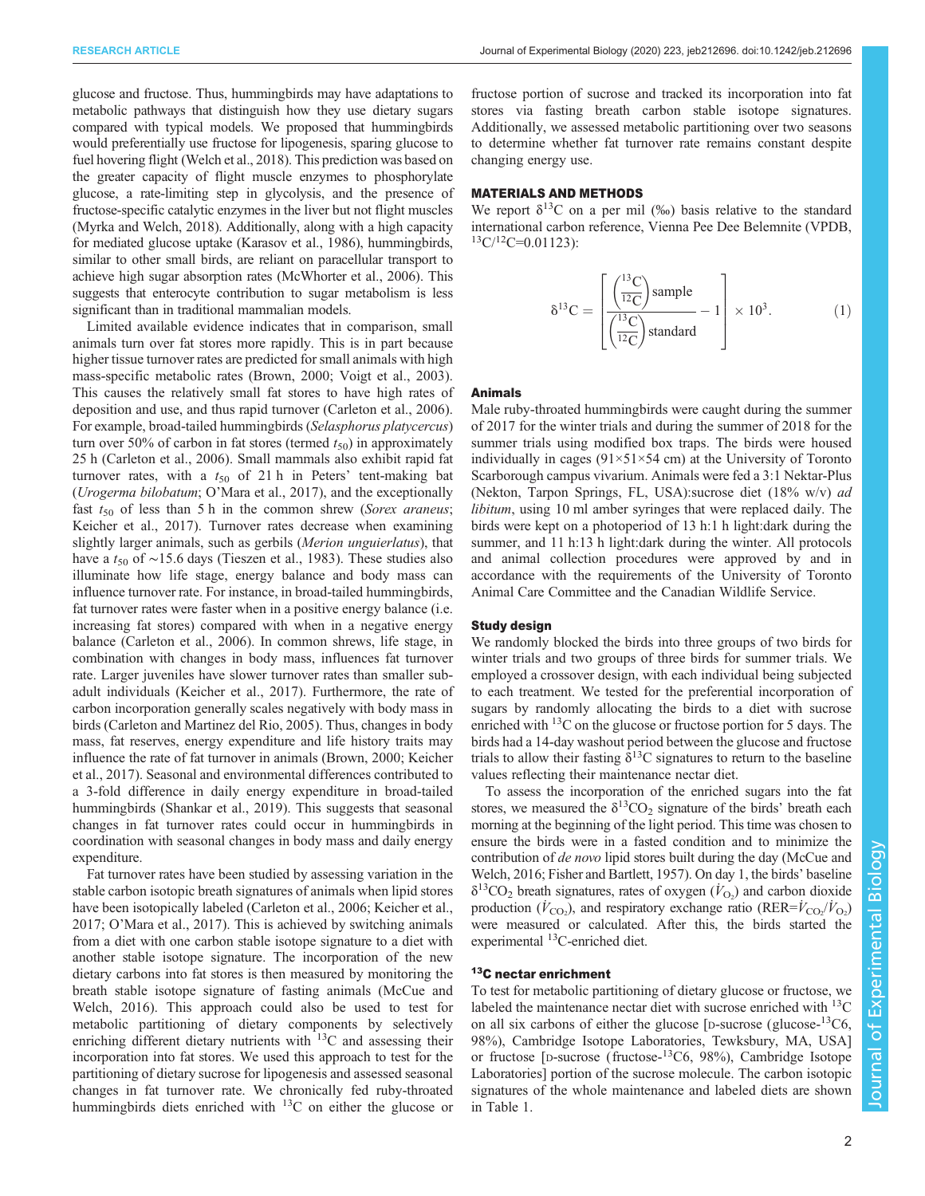glucose and fructose. Thus, hummingbirds may have adaptations to metabolic pathways that distinguish how they use dietary sugars compared with typical models. We proposed that hummingbirds would preferentially use fructose for lipogenesis, sparing glucose to fuel hovering flight [\(Welch et al., 2018](#page-7-0)). This prediction was based on the greater capacity of flight muscle enzymes to phosphorylate glucose, a rate-limiting step in glycolysis, and the presence of fructose-specific catalytic enzymes in the liver but not flight muscles [\(Myrka and Welch, 2018\)](#page-7-0). Additionally, along with a high capacity for mediated glucose uptake ([Karasov et al., 1986](#page-7-0)), hummingbirds, similar to other small birds, are reliant on paracellular transport to achieve high sugar absorption rates [\(McWhorter et al., 2006](#page-7-0)). This suggests that enterocyte contribution to sugar metabolism is less significant than in traditional mammalian models.

Limited available evidence indicates that in comparison, small animals turn over fat stores more rapidly. This is in part because higher tissue turnover rates are predicted for small animals with high mass-specific metabolic rates (Brown, 2000; Voigt et al., 2003). This causes the relatively small fat stores to have high rates of deposition and use, and thus rapid turnover [\(Carleton et al., 2006\)](#page-7-0). For example, broad-tailed hummingbirds (Selasphorus platycercus) turn over 50% of carbon in fat stores (termed  $t_{50}$ ) in approximately 25 h ([Carleton et al., 2006\)](#page-7-0). Small mammals also exhibit rapid fat turnover rates, with a  $t_{50}$  of 21 h in Peters' tent-making bat (Urogerma bilobatum; O'[Mara et al., 2017\)](#page-7-0), and the exceptionally fast  $t_{50}$  of less than 5 h in the common shrew (Sorex araneus; [Keicher et al., 2017](#page-7-0)). Turnover rates decrease when examining slightly larger animals, such as gerbils (Merion unguierlatus), that have a  $t_{50}$  of ~15.6 days ([Tieszen et al., 1983](#page-7-0)). These studies also illuminate how life stage, energy balance and body mass can influence turnover rate. For instance, in broad-tailed hummingbirds, fat turnover rates were faster when in a positive energy balance (i.e. increasing fat stores) compared with when in a negative energy balance [\(Carleton et al., 2006](#page-7-0)). In common shrews, life stage, in combination with changes in body mass, influences fat turnover rate. Larger juveniles have slower turnover rates than smaller subadult individuals [\(Keicher et al., 2017\)](#page-7-0). Furthermore, the rate of carbon incorporation generally scales negatively with body mass in birds ([Carleton and Martinez del Rio, 2005](#page-7-0)). Thus, changes in body mass, fat reserves, energy expenditure and life history traits may influence the rate of fat turnover in animals (Brown, 2000; [Keicher](#page-7-0) [et al., 2017](#page-7-0)). Seasonal and environmental differences contributed to a 3-fold difference in daily energy expenditure in broad-tailed hummingbirds [\(Shankar et al., 2019](#page-7-0)). This suggests that seasonal changes in fat turnover rates could occur in hummingbirds in coordination with seasonal changes in body mass and daily energy expenditure.

Fat turnover rates have been studied by assessing variation in the stable carbon isotopic breath signatures of animals when lipid stores have been isotopically labeled [\(Carleton et al., 2006; Keicher et al.,](#page-7-0) [2017](#page-7-0); O'[Mara et al., 2017](#page-7-0)). This is achieved by switching animals from a diet with one carbon stable isotope signature to a diet with another stable isotope signature. The incorporation of the new dietary carbons into fat stores is then measured by monitoring the breath stable isotope signature of fasting animals ([McCue and](#page-7-0) [Welch, 2016](#page-7-0)). This approach could also be used to test for metabolic partitioning of dietary components by selectively enriching different dietary nutrients with  $^{13}$ C and assessing their incorporation into fat stores. We used this approach to test for the partitioning of dietary sucrose for lipogenesis and assessed seasonal changes in fat turnover rate. We chronically fed ruby-throated hummingbirds diets enriched with <sup>13</sup>C on either the glucose or

fructose portion of sucrose and tracked its incorporation into fat stores via fasting breath carbon stable isotope signatures. Additionally, we assessed metabolic partitioning over two seasons to determine whether fat turnover rate remains constant despite changing energy use.

# MATERIALS AND METHODS

We report  $\delta^{13}$ C on a per mil (%o) basis relative to the standard international carbon reference, Vienna Pee Dee Belemnite (VPDB,  $13C/12C=0.01123$ :

$$
\delta^{13}C = \left[\frac{\left(\frac{^{13}C}{^{12}C}\right) \text{sample}}{\left(\frac{^{13}C}{^{12}C}\right) \text{standard}} - 1\right] \times 10^3. \tag{1}
$$

### Animals

Male ruby-throated hummingbirds were caught during the summer of 2017 for the winter trials and during the summer of 2018 for the summer trials using modified box traps. The birds were housed individually in cages  $(91\times51\times54$  cm) at the University of Toronto Scarborough campus vivarium. Animals were fed a 3:1 Nektar-Plus (Nekton, Tarpon Springs, FL, USA):sucrose diet (18% w/v) ad libitum, using 10 ml amber syringes that were replaced daily. The birds were kept on a photoperiod of 13 h:1 h light:dark during the summer, and 11 h:13 h light:dark during the winter. All protocols and animal collection procedures were approved by and in accordance with the requirements of the University of Toronto Animal Care Committee and the Canadian Wildlife Service.

# Study design

We randomly blocked the birds into three groups of two birds for winter trials and two groups of three birds for summer trials. We employed a crossover design, with each individual being subjected to each treatment. We tested for the preferential incorporation of sugars by randomly allocating the birds to a diet with sucrose enriched with  ${}^{13}$ C on the glucose or fructose portion for 5 days. The birds had a 14-day washout period between the glucose and fructose trials to allow their fasting  $\delta^{13}$ C signatures to return to the baseline values reflecting their maintenance nectar diet.

To assess the incorporation of the enriched sugars into the fat stores, we measured the  $\delta^{13}CO_2$  signature of the birds' breath each morning at the beginning of the light period. This time was chosen to ensure the birds were in a fasted condition and to minimize the contribution of *de novo* lipid stores built during the day ([McCue and](#page-7-0) [Welch, 2016; Fisher and Bartlett, 1957](#page-7-0)). On day 1, the birds' baseline  $\delta^{13}CO_2$  breath signatures, rates of oxygen  $(\dot{V}_{O_2})$  and carbon dioxide production ( $\dot{V}_{\text{CO}_2}$ ), and respiratory exchange ratio (RER= $\dot{V}_{\text{CO}_2}/\dot{V}_{\text{O}_2}$ ) were measured or calculated. After this, the birds started the experimental 13C-enriched diet.

# 13C nectar enrichment

To test for metabolic partitioning of dietary glucose or fructose, we labeled the maintenance nectar diet with sucrose enriched with <sup>13</sup>C on all six carbons of either the glucose [D-sucrose (glucose- $^{13}$ C6, 98%), Cambridge Isotope Laboratories, Tewksbury, MA, USA] or fructose [D-sucrose (fructose-13C6, 98%), Cambridge Isotope Laboratories] portion of the sucrose molecule. The carbon isotopic signatures of the whole maintenance and labeled diets are shown in [Table 1.](#page-2-0)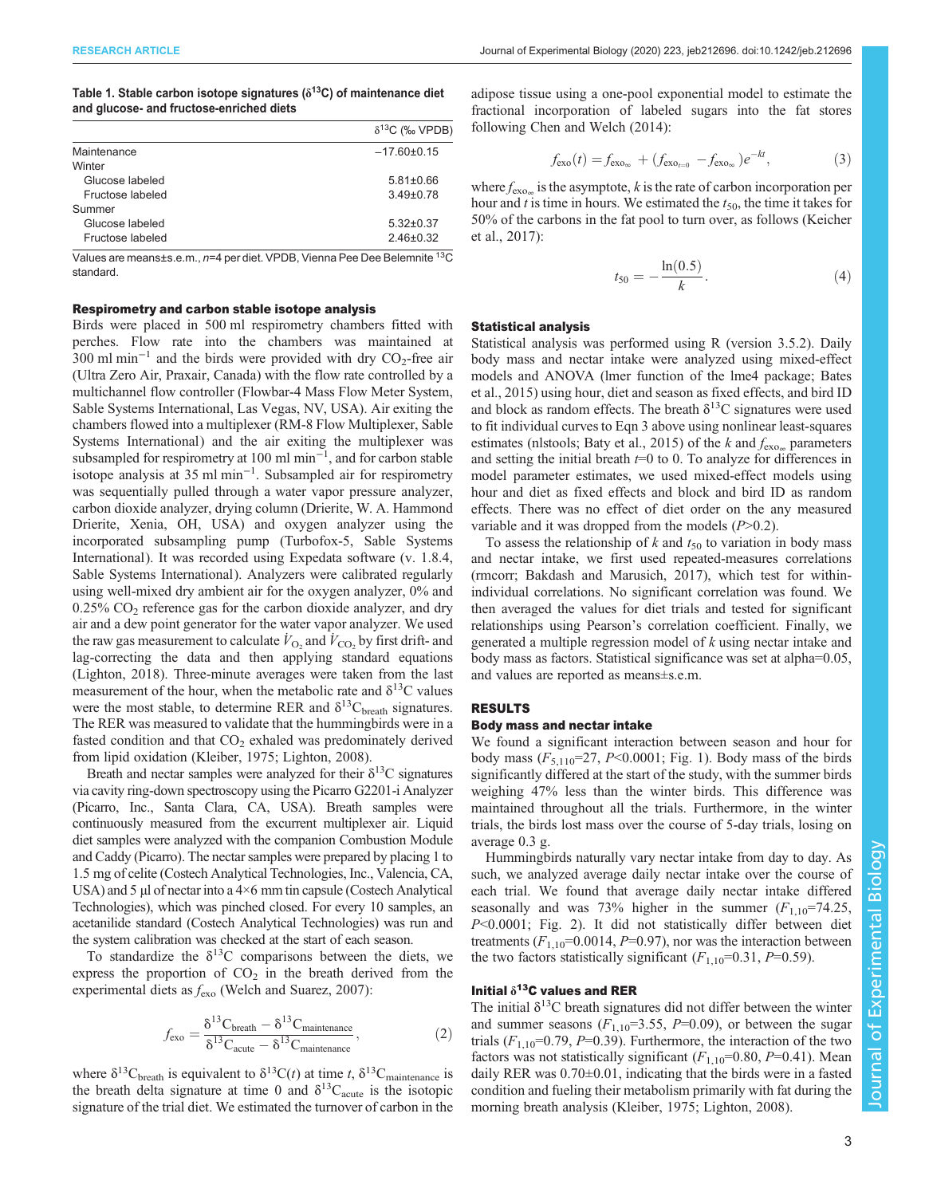<span id="page-2-0"></span>Table 1. Stable carbon isotope signatures ( $\delta^{13}$ C) of maintenance diet and glucose- and fructose-enriched diets

|                  | $\delta^{13}C$ (‰ VPDB) |
|------------------|-------------------------|
| Maintenance      | $-17.60 \pm 0.15$       |
| Winter           |                         |
| Glucose labeled  | $5.81 \pm 0.66$         |
| Fructose labeled | $3.49 \pm 0.78$         |
| Summer           |                         |
| Glucose labeled  | $5.32 \pm 0.37$         |
| Fructose labeled | $2.46 \pm 0.32$         |

Values are means±s.e.m., n=4 per diet. VPDB, Vienna Pee Dee Belemnite 13C standard.

# Respirometry and carbon stable isotope analysis

Birds were placed in 500 ml respirometry chambers fitted with perches. Flow rate into the chambers was maintained at 300 ml min<sup>-1</sup> and the birds were provided with dry  $CO_2$ -free air (Ultra Zero Air, Praxair, Canada) with the flow rate controlled by a multichannel flow controller (Flowbar-4 Mass Flow Meter System, Sable Systems International, Las Vegas, NV, USA). Air exiting the chambers flowed into a multiplexer (RM-8 Flow Multiplexer, Sable Systems International) and the air exiting the multiplexer was subsampled for respirometry at 100 ml min<sup>-1</sup>, and for carbon stable isotope analysis at 35 ml min−<sup>1</sup> . Subsampled air for respirometry was sequentially pulled through a water vapor pressure analyzer, carbon dioxide analyzer, drying column (Drierite, W. A. Hammond Drierite, Xenia, OH, USA) and oxygen analyzer using the incorporated subsampling pump (Turbofox-5, Sable Systems International). It was recorded using Expedata software (v. 1.8.4, Sable Systems International). Analyzers were calibrated regularly using well-mixed dry ambient air for the oxygen analyzer, 0% and  $0.25\%$  CO<sub>2</sub> reference gas for the carbon dioxide analyzer, and dry air and a dew point generator for the water vapor analyzer. We used the raw gas measurement to calculate  $\dot{V}_{\text{O}_2}$  and  $\dot{V}_{\text{CO}_2}$  by first drift- and lag-correcting the data and then applying standard equations [\(Lighton, 2018\)](#page-7-0). Three-minute averages were taken from the last measurement of the hour, when the metabolic rate and  $\delta^{13}$ C values were the most stable, to determine RER and  $\delta^{13}C_{\text{breath}}$  signatures. The RER was measured to validate that the hummingbirds were in a fasted condition and that  $CO<sub>2</sub>$  exhaled was predominately derived from lipid oxidation ([Kleiber, 1975; Lighton, 2008](#page-7-0)).

Breath and nectar samples were analyzed for their  $\delta^{13}$ C signatures via cavity ring-down spectroscopy using the Picarro G2201-i Analyzer (Picarro, Inc., Santa Clara, CA, USA). Breath samples were continuously measured from the excurrent multiplexer air. Liquid diet samples were analyzed with the companion Combustion Module and Caddy (Picarro). The nectar samples were prepared by placing 1 to 1.5 mg of celite (Costech Analytical Technologies, Inc., Valencia, CA, USA) and 5 µl of nectar into a 4×6 mm tin capsule (Costech Analytical Technologies), which was pinched closed. For every 10 samples, an acetanilide standard (Costech Analytical Technologies) was run and the system calibration was checked at the start of each season.

To standardize the  $\delta^{13}$ C comparisons between the diets, we express the proportion of  $CO<sub>2</sub>$  in the breath derived from the experimental diets as  $f_{\text{exo}}$  ([Welch and Suarez, 2007](#page-7-0)):

$$
f_{\rm exo} = \frac{\delta^{13}C_{\rm breath} - \delta^{13}C_{\rm maintenance}}{\delta^{13}C_{\rm acute} - \delta^{13}C_{\rm maintenance}},
$$
 (2)

where  $\delta^{13}C_{\text{breath}}$  is equivalent to  $\delta^{13}C(t)$  at time t,  $\delta^{13}C_{\text{maintenance}}$  is the breath delta signature at time 0 and  $\delta^{13}C_{acute}$  is the isotopic signature of the trial diet. We estimated the turnover of carbon in the adipose tissue using a one-pool exponential model to estimate the fractional incorporation of labeled sugars into the fat stores following [Chen and Welch \(2014\)](#page-7-0):

$$
f_{\rm exo}(t) = f_{\rm exo_{\infty}} + (f_{\rm exo_{t=0}} - f_{\rm exo_{\infty}})e^{-kt},
$$
 (3)

where  $f_{\text{exo}}$  is the asymptote, k is the rate of carbon incorporation per hour and t is time in hours. We estimated the  $t_{50}$ , the time it takes for 50% of the carbons in the fat pool to turn over, as follows [\(Keicher](#page-7-0) [et al., 2017\)](#page-7-0):

$$
t_{50} = -\frac{\ln(0.5)}{k}.
$$
 (4)

# Statistical analysis

Statistical analysis was performed using R (version 3.5.2). Daily body mass and nectar intake were analyzed using mixed-effect models and ANOVA (lmer function of the lme4 package; [Bates](#page-7-0) [et al., 2015](#page-7-0)) using hour, diet and season as fixed effects, and bird ID and block as random effects. The breath  $\delta^{13}$ C signatures were used to fit individual curves to Eqn 3 above using nonlinear least-squares estimates (nlstools; [Baty et al., 2015\)](#page-7-0) of the k and  $f_{\text{exo}}$  parameters and setting the initial breath  $t=0$  to 0. To analyze for differences in model parameter estimates, we used mixed-effect models using hour and diet as fixed effects and block and bird ID as random effects. There was no effect of diet order on the any measured variable and it was dropped from the models  $(P>0.2)$ .

To assess the relationship of  $k$  and  $t_{50}$  to variation in body mass and nectar intake, we first used repeated-measures correlations (rmcorr; [Bakdash and Marusich, 2017\)](#page-7-0), which test for withinindividual correlations. No significant correlation was found. We then averaged the values for diet trials and tested for significant relationships using Pearson's correlation coefficient. Finally, we generated a multiple regression model of k using nectar intake and body mass as factors. Statistical significance was set at alpha=0.05, and values are reported as means±s.e.m.

## RESULTS

# Body mass and nectar intake

We found a significant interaction between season and hour for body mass  $(F_{5,110} = 27, P < 0.0001;$  [Fig. 1](#page-3-0)). Body mass of the birds significantly differed at the start of the study, with the summer birds weighing 47% less than the winter birds. This difference was maintained throughout all the trials. Furthermore, in the winter trials, the birds lost mass over the course of 5-day trials, losing on average 0.3 g.

Hummingbirds naturally vary nectar intake from day to day. As such, we analyzed average daily nectar intake over the course of each trial. We found that average daily nectar intake differed seasonally and was 73% higher in the summer  $(F_{1,10}=74.25,$ P<0.0001; [Fig. 2\)](#page-3-0). It did not statistically differ between diet treatments  $(F_{1,10} = 0.0014, P = 0.97)$ , nor was the interaction between the two factors statistically significant  $(F_{1,10}=0.31, P=0.59)$ .

# Initial  $\delta^{13}$ C values and RER

The initial  $\delta^{13}$ C breath signatures did not differ between the winter and summer seasons  $(F_{1,10}=3.55, P=0.09)$ , or between the sugar trials  $(F_{1,10} = 0.79, P = 0.39)$ . Furthermore, the interaction of the two factors was not statistically significant  $(F_{1,10}=0.80, P=0.41)$ . Mean daily RER was 0.70±0.01, indicating that the birds were in a fasted condition and fueling their metabolism primarily with fat during the morning breath analysis [\(Kleiber, 1975; Lighton, 2008\)](#page-7-0).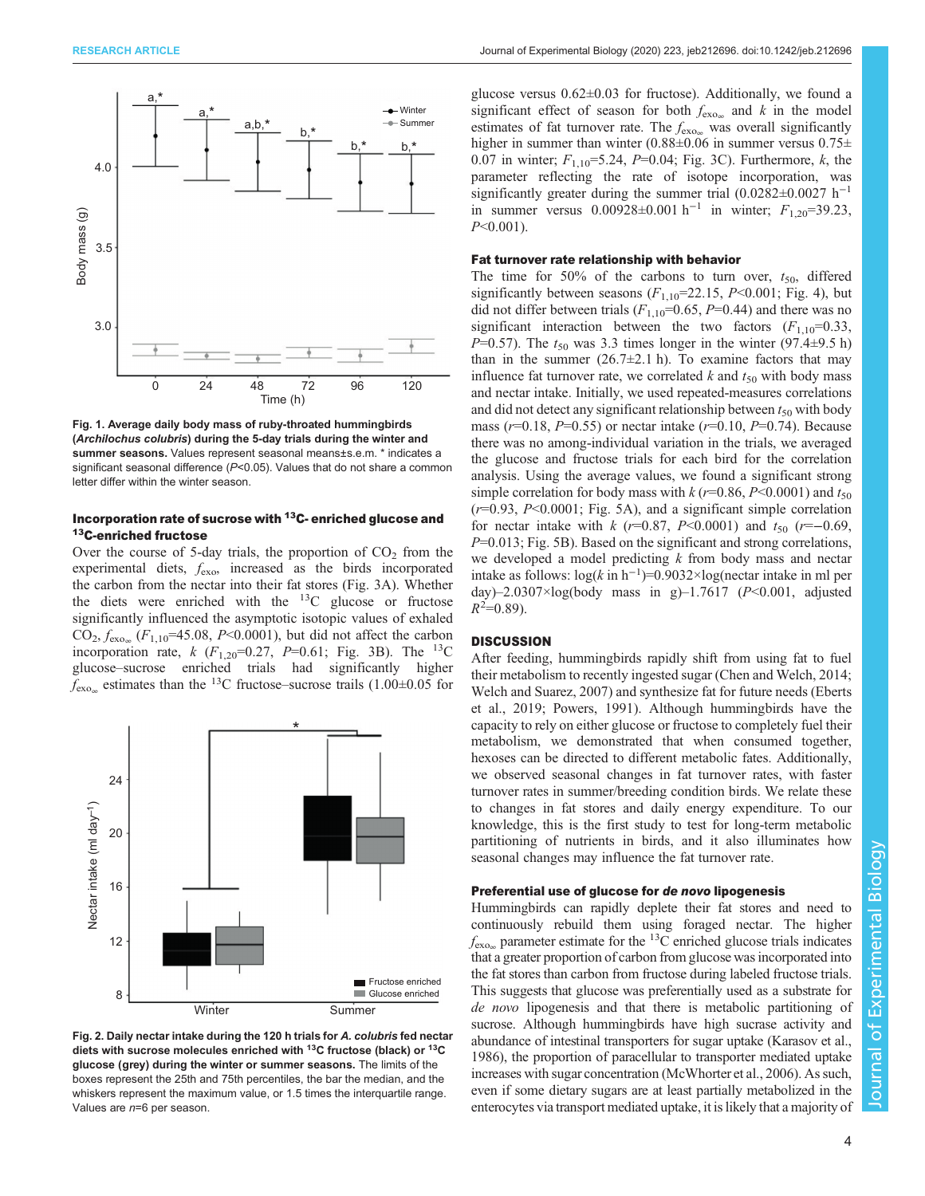<span id="page-3-0"></span>

Fig. 1. Average daily body mass of ruby-throated hummingbirds (Archilochus colubris) during the 5-day trials during the winter and summer seasons. Values represent seasonal means±s.e.m. \* indicates a significant seasonal difference (P<0.05). Values that do not share a common letter differ within the winter season.

# Incorporation rate of sucrose with 13C- enriched glucose and 13C-enriched fructose

Over the course of 5-day trials, the proportion of  $CO<sub>2</sub>$  from the experimental diets,  $f_{\text{exo}}$  increased as the birds incorporated the carbon from the nectar into their fat stores ([Fig. 3](#page-4-0)A). Whether the diets were enriched with the  $^{13}$ C glucose or fructose significantly influenced the asymptotic isotopic values of exhaled  $CO_2, f_{\text{exo}_m}$  ( $F_{1,10}$ =45.08, P<0.0001), but did not affect the carbon incorporation rate,  $k$  ( $F_{1,20}$ =0.27,  $P$ =0.61; [Fig. 3B](#page-4-0)). The <sup>13</sup>C glucose–sucrose enriched trials had significantly higher  $f_{\text{exo}}$  estimates than the <sup>13</sup>C fructose–sucrose trails (1.00±0.05 for



Fig. 2. Daily nectar intake during the 120 h trials for A. colubris fed nectar diets with sucrose molecules enriched with 13C fructose (black) or 13C glucose (grey) during the winter or summer seasons. The limits of the boxes represent the 25th and 75th percentiles, the bar the median, and the whiskers represent the maximum value, or 1.5 times the interquartile range. Values are n=6 per season.

glucose versus 0.62±0.03 for fructose). Additionally, we found a significant effect of season for both  $f_{\text{exo}}$  and k in the model estimates of fat turnover rate. The  $f_{\text{exo}}$  was overall significantly higher in summer than winter (0.88±0.06 in summer versus 0.75± 0.07 in winter;  $F_{1,10} = 5.24$ ,  $P = 0.04$ ; [Fig. 3](#page-4-0)C). Furthermore, k, the parameter reflecting the rate of isotope incorporation, was significantly greater during the summer trial  $(0.0282 \pm 0.0027 \text{ h}^{-1})$ in summer versus  $0.00928\pm0.001 \text{ h}^{-1}$  in winter;  $F_{1,20}$ =39.23,  $P<0.001$ ).

## Fat turnover rate relationship with behavior

The time for 50% of the carbons to turn over,  $t_{50}$ , differed significantly between seasons  $(F_{1,10}=22.15, P<0.001; Fig. 4)$  $(F_{1,10}=22.15, P<0.001; Fig. 4)$  $(F_{1,10}=22.15, P<0.001; Fig. 4)$ , but did not differ between trials  $(F_{1,10}=0.65, P=0.44)$  and there was no significant interaction between the two factors  $(F_{1,10}=0.33)$ ,  $P=0.57$ ). The  $t_{50}$  was 3.3 times longer in the winter (97.4 $\pm$ 9.5 h) than in the summer  $(26.7\pm2.1 \text{ h})$ . To examine factors that may influence fat turnover rate, we correlated  $k$  and  $t_{50}$  with body mass and nectar intake. Initially, we used repeated-measures correlations and did not detect any significant relationship between  $t_{50}$  with body mass ( $r=0.18$ ,  $P=0.55$ ) or nectar intake ( $r=0.10$ ,  $P=0.74$ ). Because there was no among-individual variation in the trials, we averaged the glucose and fructose trials for each bird for the correlation analysis. Using the average values, we found a significant strong simple correlation for body mass with  $k(r=0.86, P<0.0001)$  and  $t_{50}$  $(r=0.93, P<0.0001;$  [Fig. 5](#page-5-0)A), and a significant simple correlation for nectar intake with k ( $r=0.87$ ,  $P<0.0001$ ) and  $t_{50}$  ( $r=-0.69$ ,  $P=0.013$ ; [Fig. 5B](#page-5-0)). Based on the significant and strong correlations, we developed a model predicting  $k$  from body mass and nectar intake as follows:  $log(k \text{ in } h^{-1})=0.9032\times log(n \text{ectar intake in ml per}))$ day)–2.0307×log(body mass in g)–1.7617 ( $P$  < 0.001, adjusted  $R^2=0.89$ ).

# **DISCUSSION**

After feeding, hummingbirds rapidly shift from using fat to fuel their metabolism to recently ingested sugar [\(Chen and Welch, 2014](#page-7-0); [Welch and Suarez, 2007\)](#page-7-0) and synthesize fat for future needs [\(Eberts](#page-7-0) [et al., 2019; Powers, 1991\)](#page-7-0). Although hummingbirds have the capacity to rely on either glucose or fructose to completely fuel their metabolism, we demonstrated that when consumed together, hexoses can be directed to different metabolic fates. Additionally, we observed seasonal changes in fat turnover rates, with faster turnover rates in summer/breeding condition birds. We relate these to changes in fat stores and daily energy expenditure. To our knowledge, this is the first study to test for long-term metabolic partitioning of nutrients in birds, and it also illuminates how seasonal changes may influence the fat turnover rate.

# Preferential use of glucose for de novo lipogenesis

Hummingbirds can rapidly deplete their fat stores and need to continuously rebuild them using foraged nectar. The higher  $f_{\text{exo}}$  parameter estimate for the <sup>13</sup>C enriched glucose trials indicates that a greater proportion of carbon from glucose was incorporated into the fat stores than carbon from fructose during labeled fructose trials. This suggests that glucose was preferentially used as a substrate for de novo lipogenesis and that there is metabolic partitioning of sucrose. Although hummingbirds have high sucrase activity and abundance of intestinal transporters for sugar uptake [\(Karasov et al.,](#page-7-0) [1986\)](#page-7-0), the proportion of paracellular to transporter mediated uptake increases with sugar concentration [\(McWhorter et al., 2006\)](#page-7-0). As such, even if some dietary sugars are at least partially metabolized in the enterocytes via transport mediated uptake, it is likely that a majority of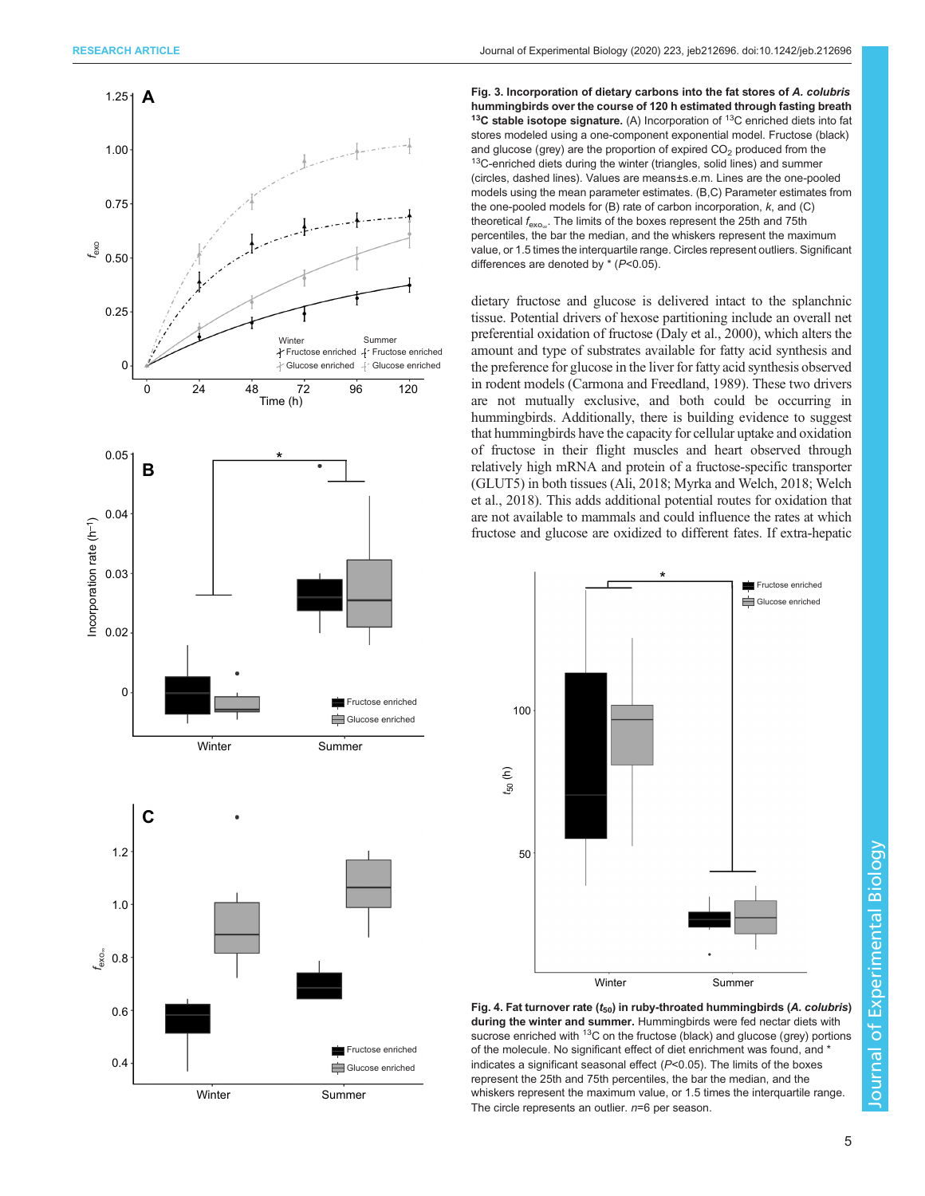<span id="page-4-0"></span>

Fig. 3. Incorporation of dietary carbons into the fat stores of A. colubris hummingbirds over the course of 120 h estimated through fasting breath  $13C$  stable isotope signature. (A) Incorporation of  $13C$  enriched diets into fat stores modeled using a one-component exponential model. Fructose (black) and glucose (grey) are the proportion of expired  $CO<sub>2</sub>$  produced from the  $13$ C-enriched diets during the winter (triangles, solid lines) and summer (circles, dashed lines). Values are means±s.e.m. Lines are the one-pooled models using the mean parameter estimates. (B,C) Parameter estimates from the one-pooled models for  $(B)$  rate of carbon incorporation,  $k$ , and  $(C)$ theoretical  $f_{\text{exo}}$ . The limits of the boxes represent the 25th and 75th percentiles, the bar the median, and the whiskers represent the maximum value, or 1.5 times the interquartile range. Circles represent outliers. Significant differences are denoted by  $*(P<0.05)$ .

dietary fructose and glucose is delivered intact to the splanchnic tissue. Potential drivers of hexose partitioning include an overall net preferential oxidation of fructose [\(Daly et al., 2000](#page-7-0)), which alters the amount and type of substrates available for fatty acid synthesis and the preference for glucose in the liver for fatty acid synthesis observed in rodent models [\(Carmona and Freedland, 1989\)](#page-7-0). These two drivers are not mutually exclusive, and both could be occurring in hummingbirds. Additionally, there is building evidence to suggest that hummingbirds have the capacity for cellular uptake and oxidation of fructose in their flight muscles and heart observed through relatively high mRNA and protein of a fructose-specific transporter (GLUT5) in both tissues (Ali, 2018; [Myrka and Welch, 2018; Welch](#page-7-0) [et al., 2018\)](#page-7-0). This adds additional potential routes for oxidation that are not available to mammals and could influence the rates at which fructose and glucose are oxidized to different fates. If extra-hepatic



Fig. 4. Fat turnover rate ( $t_{50}$ ) in ruby-throated hummingbirds (A. colubris) during the winter and summer. Hummingbirds were fed nectar diets with sucrose enriched with <sup>13</sup>C on the fructose (black) and glucose (grey) portions of the molecule. No significant effect of diet enrichment was found, and \* indicates a significant seasonal effect  $(P<0.05)$ . The limits of the boxes represent the 25th and 75th percentiles, the bar the median, and the whiskers represent the maximum value, or 1.5 times the interquartile range. The circle represents an outlier.  $n=6$  per season.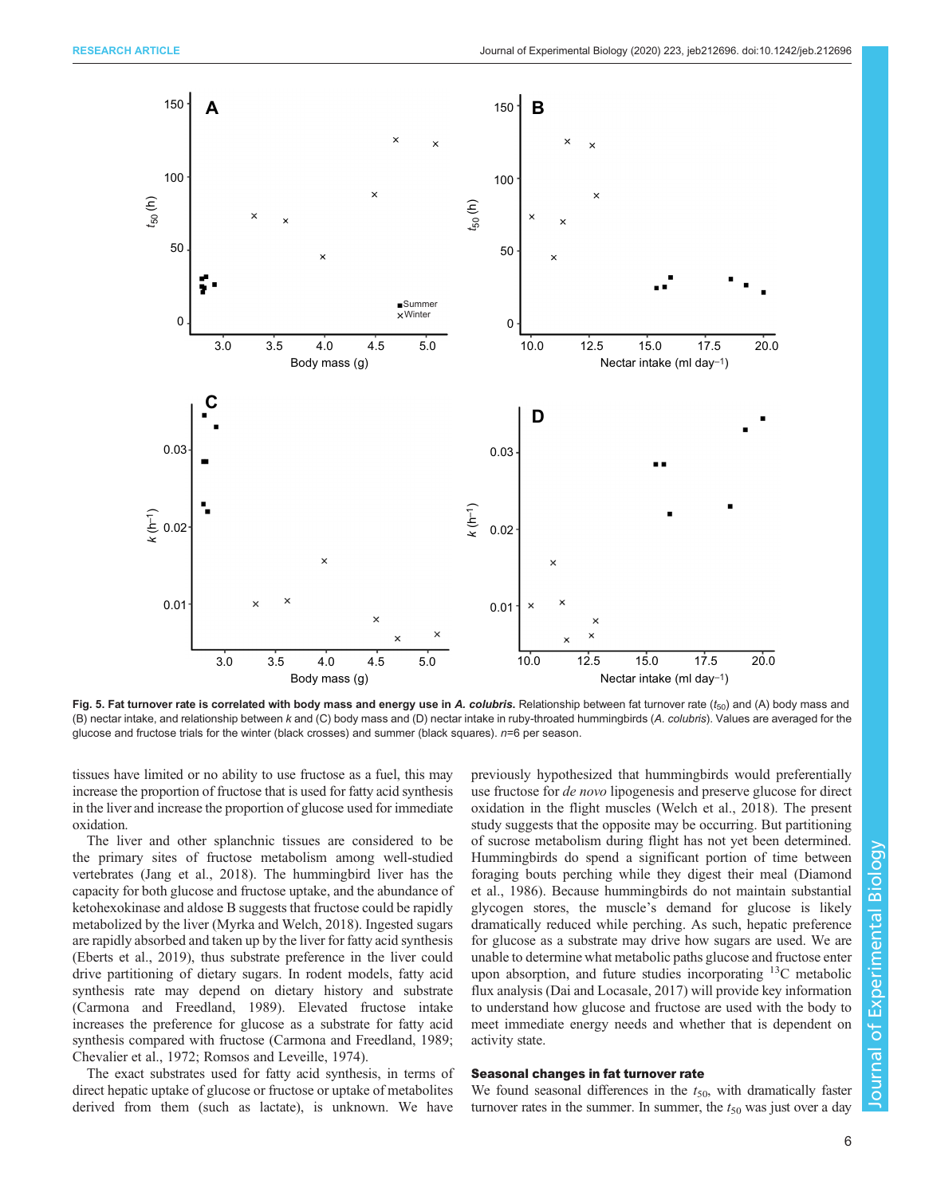<span id="page-5-0"></span>

Fig. 5. Fat turnover rate is correlated with body mass and energy use in A. colubris. Relationship between fat turnover rate  $(t_{50})$  and (A) body mass and (B) nectar intake, and relationship between k and (C) body mass and (D) nectar intake in ruby-throated hummingbirds (A. colubris). Values are averaged for the glucose and fructose trials for the winter (black crosses) and summer (black squares).  $n=6$  per season.

tissues have limited or no ability to use fructose as a fuel, this may increase the proportion of fructose that is used for fatty acid synthesis in the liver and increase the proportion of glucose used for immediate oxidation.

The liver and other splanchnic tissues are considered to be the primary sites of fructose metabolism among well-studied vertebrates [\(Jang et al., 2018\)](#page-7-0). The hummingbird liver has the capacity for both glucose and fructose uptake, and the abundance of ketohexokinase and aldose B suggests that fructose could be rapidly metabolized by the liver ([Myrka and Welch, 2018](#page-7-0)). Ingested sugars are rapidly absorbed and taken up by the liver for fatty acid synthesis [\(Eberts et al., 2019\)](#page-7-0), thus substrate preference in the liver could drive partitioning of dietary sugars. In rodent models, fatty acid synthesis rate may depend on dietary history and substrate [\(Carmona and Freedland, 1989\)](#page-7-0). Elevated fructose intake increases the preference for glucose as a substrate for fatty acid synthesis compared with fructose [\(Carmona and Freedland, 1989](#page-7-0); [Chevalier et al., 1972; Romsos and Leveille, 1974\)](#page-7-0).

The exact substrates used for fatty acid synthesis, in terms of direct hepatic uptake of glucose or fructose or uptake of metabolites derived from them (such as lactate), is unknown. We have

previously hypothesized that hummingbirds would preferentially use fructose for de novo lipogenesis and preserve glucose for direct oxidation in the flight muscles ([Welch et al., 2018\)](#page-7-0). The present study suggests that the opposite may be occurring. But partitioning of sucrose metabolism during flight has not yet been determined. Hummingbirds do spend a significant portion of time between foraging bouts perching while they digest their meal ([Diamond](#page-7-0) [et al., 1986](#page-7-0)). Because hummingbirds do not maintain substantial glycogen stores, the muscle's demand for glucose is likely dramatically reduced while perching. As such, hepatic preference for glucose as a substrate may drive how sugars are used. We are unable to determine what metabolic paths glucose and fructose enter upon absorption, and future studies incorporating 13C metabolic flux analysis [\(Dai and Locasale, 2017](#page-7-0)) will provide key information to understand how glucose and fructose are used with the body to meet immediate energy needs and whether that is dependent on activity state.

# Seasonal changes in fat turnover rate

We found seasonal differences in the  $t_{50}$ , with dramatically faster turnover rates in the summer. In summer, the  $t_{50}$  was just over a day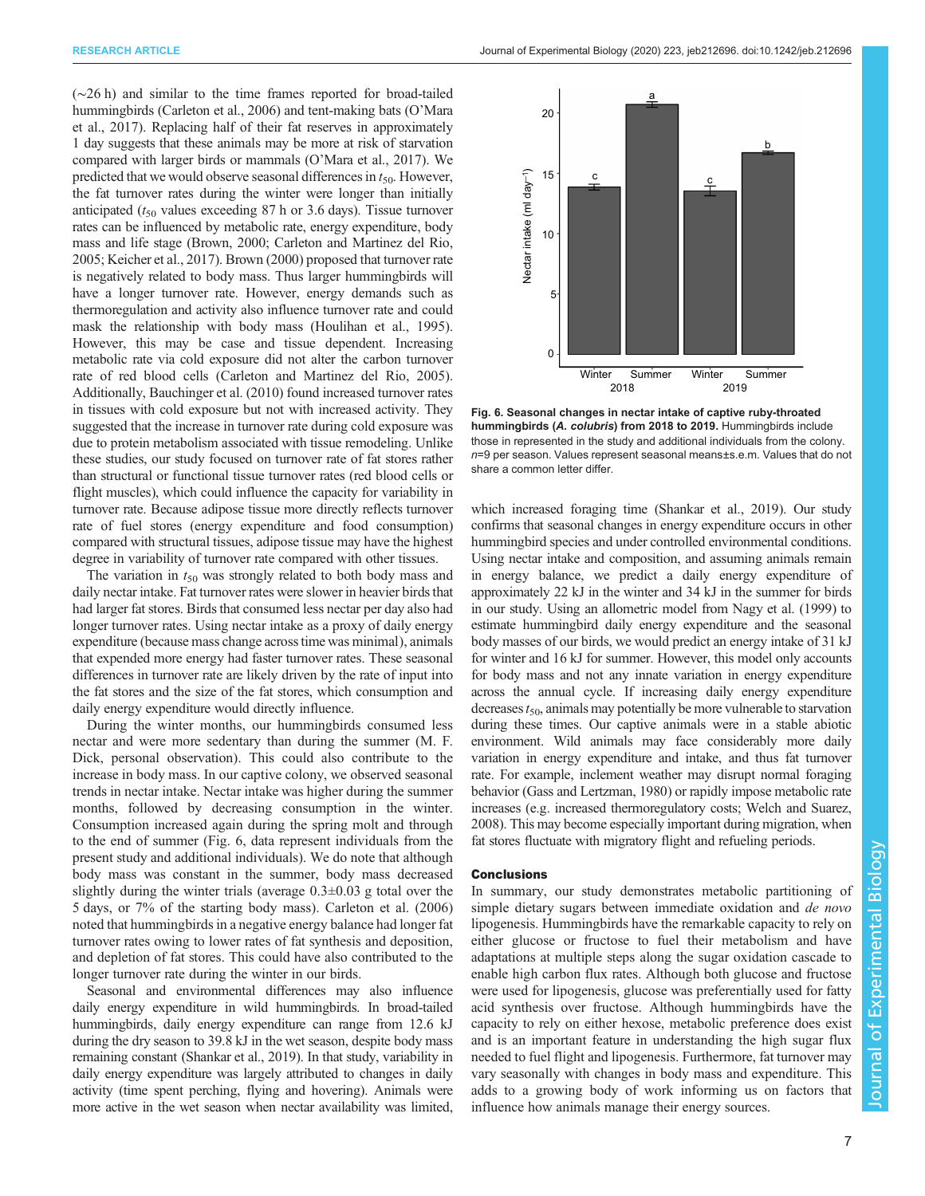(∼26 h) and similar to the time frames reported for broad-tailed hummingbirds [\(Carleton et al., 2006\)](#page-7-0) and tent-making bats (O'[Mara](#page-7-0) [et al., 2017\)](#page-7-0). Replacing half of their fat reserves in approximately 1 day suggests that these animals may be more at risk of starvation compared with larger birds or mammals (O'[Mara et al., 2017](#page-7-0)). We predicted that we would observe seasonal differences in  $t_{50}$ . However, the fat turnover rates during the winter were longer than initially anticipated ( $t_{50}$  values exceeding 87 h or 3.6 days). Tissue turnover rates can be influenced by metabolic rate, energy expenditure, body mass and life stage ([Brown, 2000; Carleton and Martinez del Rio,](#page-7-0) [2005; Keicher et al., 2017](#page-7-0)). [Brown \(2000\)](#page-7-0) proposed that turnover rate is negatively related to body mass. Thus larger hummingbirds will have a longer turnover rate. However, energy demands such as thermoregulation and activity also influence turnover rate and could mask the relationship with body mass ([Houlihan et al., 1995\)](#page-7-0). However, this may be case and tissue dependent. Increasing metabolic rate via cold exposure did not alter the carbon turnover rate of red blood cells [\(Carleton and Martinez del Rio, 2005\)](#page-7-0). Additionally, Bauchinger et al. (2010) found increased turnover rates in tissues with cold exposure but not with increased activity. They suggested that the increase in turnover rate during cold exposure was due to protein metabolism associated with tissue remodeling. Unlike these studies, our study focused on turnover rate of fat stores rather than structural or functional tissue turnover rates (red blood cells or flight muscles), which could influence the capacity for variability in turnover rate. Because adipose tissue more directly reflects turnover rate of fuel stores (energy expenditure and food consumption) compared with structural tissues, adipose tissue may have the highest degree in variability of turnover rate compared with other tissues.

The variation in  $t_{50}$  was strongly related to both body mass and daily nectar intake. Fat turnover rates were slower in heavier birds that had larger fat stores. Birds that consumed less nectar per day also had longer turnover rates. Using nectar intake as a proxy of daily energy expenditure (because mass change across time was minimal), animals that expended more energy had faster turnover rates. These seasonal differences in turnover rate are likely driven by the rate of input into the fat stores and the size of the fat stores, which consumption and daily energy expenditure would directly influence.

During the winter months, our hummingbirds consumed less nectar and were more sedentary than during the summer (M. F. Dick, personal observation). This could also contribute to the increase in body mass. In our captive colony, we observed seasonal trends in nectar intake. Nectar intake was higher during the summer months, followed by decreasing consumption in the winter. Consumption increased again during the spring molt and through to the end of summer (Fig. 6, data represent individuals from the present study and additional individuals). We do note that although body mass was constant in the summer, body mass decreased slightly during the winter trials (average  $0.3\pm0.03$  g total over the 5 days, or 7% of the starting body mass). [Carleton et al. \(2006\)](#page-7-0) noted that hummingbirds in a negative energy balance had longer fat turnover rates owing to lower rates of fat synthesis and deposition, and depletion of fat stores. This could have also contributed to the longer turnover rate during the winter in our birds.

Seasonal and environmental differences may also influence daily energy expenditure in wild hummingbirds. In broad-tailed hummingbirds, daily energy expenditure can range from 12.6 kJ during the dry season to 39.8 kJ in the wet season, despite body mass remaining constant [\(Shankar et al., 2019\)](#page-7-0). In that study, variability in daily energy expenditure was largely attributed to changes in daily activity (time spent perching, flying and hovering). Animals were more active in the wet season when nectar availability was limited,



Fig. 6. Seasonal changes in nectar intake of captive ruby-throated hummingbirds (A. colubris) from 2018 to 2019. Hummingbirds include those in represented in the study and additional individuals from the colony. n=9 per season. Values represent seasonal means±s.e.m. Values that do not share a common letter differ.

which increased foraging time [\(Shankar et al., 2019\)](#page-7-0). Our study confirms that seasonal changes in energy expenditure occurs in other hummingbird species and under controlled environmental conditions. Using nectar intake and composition, and assuming animals remain in energy balance, we predict a daily energy expenditure of approximately 22 kJ in the winter and 34 kJ in the summer for birds in our study. Using an allometric model from [Nagy et al. \(1999\)](#page-7-0) to estimate hummingbird daily energy expenditure and the seasonal body masses of our birds, we would predict an energy intake of 31 kJ for winter and 16 kJ for summer. However, this model only accounts for body mass and not any innate variation in energy expenditure across the annual cycle. If increasing daily energy expenditure decreases  $t_{50}$ , animals may potentially be more vulnerable to starvation during these times. Our captive animals were in a stable abiotic environment. Wild animals may face considerably more daily variation in energy expenditure and intake, and thus fat turnover rate. For example, inclement weather may disrupt normal foraging behavior ([Gass and Lertzman, 1980\)](#page-7-0) or rapidly impose metabolic rate increases (e.g. increased thermoregulatory costs; [Welch and Suarez,](#page-7-0) [2008](#page-7-0)). This may become especially important during migration, when fat stores fluctuate with migratory flight and refueling periods. Fig. 6<br>
The state of the state of captive Townther Control of the state of captive relations of the colubris from 2018<br>
Fig. 6. Seasonal changes in nectar intake of captive ruby<br>
howen in represented in the study and dedit

## **Conclusions**

In summary, our study demonstrates metabolic partitioning of simple dietary sugars between immediate oxidation and *de novo* lipogenesis. Hummingbirds have the remarkable capacity to rely on either glucose or fructose to fuel their metabolism and have adaptations at multiple steps along the sugar oxidation cascade to enable high carbon flux rates. Although both glucose and fructose were used for lipogenesis, glucose was preferentially used for fatty acid synthesis over fructose. Although hummingbirds have the capacity to rely on either hexose, metabolic preference does exist and is an important feature in understanding the high sugar flux needed to fuel flight and lipogenesis. Furthermore, fat turnover may vary seasonally with changes in body mass and expenditure. This adds to a growing body of work informing us on factors that